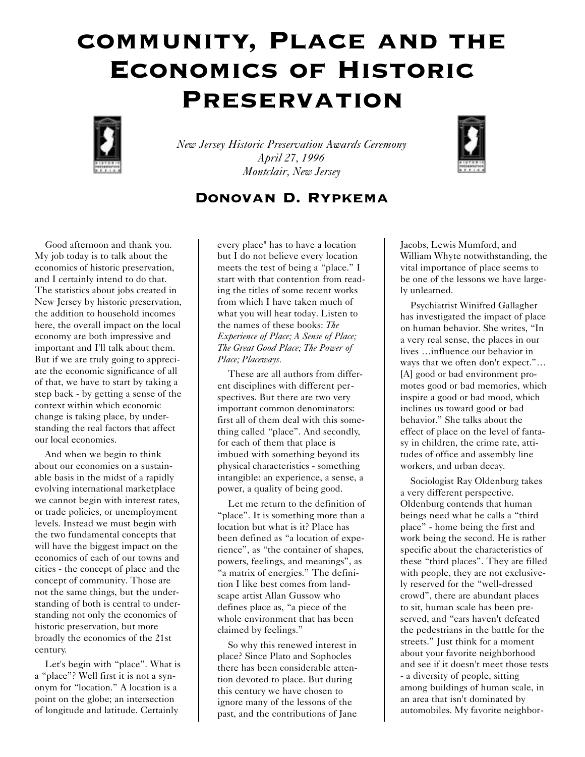## community, Place and the Economics of Historic **PRESERVATION**



*New Jersey Historic Preservation Awards Ceremony April 27, 1996 Montclair, New Jersey*



## Donovan D. Rypkema

Good afternoon and thank you. My job today is to talk about the economics of historic preservation, and I certainly intend to do that. The statistics about jobs created in New Jersey by historic preservation, the addition to household incomes here, the overall impact on the local economy are both impressive and important and I'll talk about them. But if we are truly going to appreciate the economic significance of all of that, we have to start by taking a step back - by getting a sense of the context within which economic change is taking place, by understanding the real factors that affect our local economies.

And when we begin to think about our economies on a sustainable basis in the midst of a rapidly evolving international marketplace we cannot begin with interest rates, or trade policies, or unemployment levels. Instead we must begin with the two fundamental concepts that will have the biggest impact on the economics of each of our towns and cities - the concept of place and the concept of community. Those are not the same things, but the understanding of both is central to understanding not only the economics of historic preservation, but more broadly the economics of the 21st century.

Let's begin with "place". What is a "place"? Well first it is not a synonym for "location." A location is a point on the globe; an intersection of longitude and latitude. Certainly

every place" has to have a location but I do not believe every location meets the test of being a "place." I start with that contention from reading the titles of some recent works from which I have taken much of what you will hear today. Listen to the names of these books: *The Experience of Place; A Sense of Place; The Great Good Place; The Power of Place; Placeways.*

These are all authors from different disciplines with different perspectives. But there are two very important common denominators: first all of them deal with this something called "place". And secondly, for each of them that place is imbued with something beyond its physical characteristics - something intangible: an experience, a sense, a power, a quality of being good.

Let me return to the definition of "place". It is something more than a location but what is it? Place has been defined as "a location of experience", as "the container of shapes, powers, feelings, and meanings", as "a matrix of energies." The definition I like best comes from landscape artist Allan Gussow who defines place as, "a piece of the whole environment that has been claimed by feelings."

So why this renewed interest in place? Since Plato and Sophocles there has been considerable attention devoted to place. But during this century we have chosen to ignore many of the lessons of the past, and the contributions of Jane Jacobs, Lewis Mumford, and William Whyte notwithstanding, the vital importance of place seems to be one of the lessons we have largely unlearned.

Psychiatrist Winifred Gallagher has investigated the impact of place on human behavior. She writes, "In a very real sense, the places in our lives …influence our behavior in ways that we often don't expect."… [A] good or bad environment promotes good or bad memories, which inspire a good or bad mood, which inclines us toward good or bad behavior." She talks about the effect of place on the level of fantasy in children, the crime rate, attitudes of office and assembly line workers, and urban decay.

Sociologist Ray Oldenburg takes a very different perspective. Oldenburg contends that human beings need what he calls a "third place" - home being the first and work being the second. He is rather specific about the characteristics of these "third places". They are filled with people, they are not exclusively reserved for the "well-dressed crowd", there are abundant places to sit, human scale has been preserved, and "cars haven't defeated the pedestrians in the battle for the streets." Just think for a moment about your favorite neighborhood and see if it doesn't meet those tests - a diversity of people, sitting among buildings of human scale, in an area that isn't dominated by automobiles. My favorite neighbor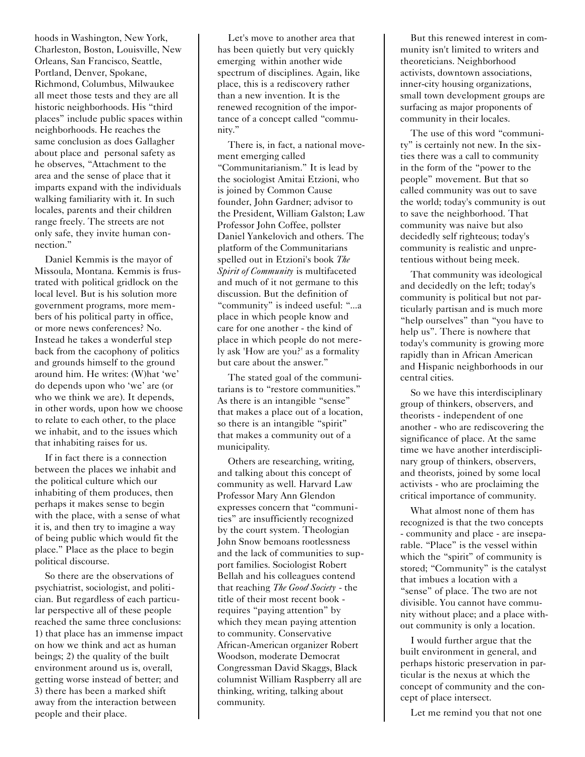hoods in Washington, New York, Charleston, Boston, Louisville, New Orleans, San Francisco, Seattle, Portland, Denver, Spokane, Richmond, Columbus, Milwaukee all meet those tests and they are all historic neighborhoods. His "third places" include public spaces within neighborhoods. He reaches the same conclusion as does Gallagher about place and personal safety as he observes, "Attachment to the area and the sense of place that it imparts expand with the individuals walking familiarity with it. In such locales, parents and their children range freely. The streets are not only safe, they invite human connection."

Daniel Kemmis is the mayor of Missoula, Montana. Kemmis is frustrated with political gridlock on the local level. But is his solution more government programs, more members of his political party in office, or more news conferences? No. Instead he takes a wonderful step back from the cacophony of politics and grounds himself to the ground around him. He writes: (W)hat 'we' do depends upon who 'we' are (or who we think we are). It depends, in other words, upon how we choose to relate to each other, to the place we inhabit, and to the issues which that inhabiting raises for us.

If in fact there is a connection between the places we inhabit and the political culture which our inhabiting of them produces, then perhaps it makes sense to begin with the place, with a sense of what it is, and then try to imagine a way of being public which would fit the place." Place as the place to begin political discourse.

So there are the observations of psychiatrist, sociologist, and politician. But regardless of each particular perspective all of these people reached the same three conclusions: 1) that place has an immense impact on how we think and act as human beings; 2) the quality of the built environment around us is, overall, getting worse instead of better; and 3) there has been a marked shift away from the interaction between people and their place.

Let's move to another area that has been quietly but very quickly emerging within another wide spectrum of disciplines. Again, like place, this is a rediscovery rather than a new invention. It is the renewed recognition of the importance of a concept called "community."

There is, in fact, a national movement emerging called "Communitarianism." It is lead by the sociologist Amitai Etzioni, who is joined by Common Cause founder, John Gardner; advisor to the President, William Galston; Law Professor John Coffee, pollster Daniel Yankelovich and others. The platform of the Communitarians spelled out in Etzioni's book *The Spirit of Community* is multifaceted and much of it not germane to this discussion. But the definition of "community" is indeed useful: "...a place in which people know and care for one another - the kind of place in which people do not merely ask 'How are you?' as a formality but care about the answer."

The stated goal of the communitarians is to "restore communities." As there is an intangible "sense" that makes a place out of a location, so there is an intangible "spirit" that makes a community out of a municipality.

Others are researching, writing, and talking about this concept of community as well. Harvard Law Professor Mary Ann Glendon expresses concern that "communities" are insufficiently recognized by the court system. Theologian John Snow bemoans rootlessness and the lack of communities to support families. Sociologist Robert Bellah and his colleagues contend that reaching *The Good Society* - the title of their most recent book requires "paying attention" by which they mean paying attention to community. Conservative African-American organizer Robert Woodson, moderate Democrat Congressman David Skaggs, Black columnist William Raspberry all are thinking, writing, talking about community.

But this renewed interest in community isn't limited to writers and theoreticians. Neighborhood activists, downtown associations, inner-city housing organizations, small town development groups are surfacing as major proponents of community in their locales.

The use of this word "community" is certainly not new. In the sixties there was a call to community in the form of the "power to the people" movement. But that so called community was out to save the world; today's community is out to save the neighborhood. That community was naive but also decidedly self righteous; today's community is realistic and unpretentious without being meek.

That community was ideological and decidedly on the left; today's community is political but not particularly partisan and is much more "help ourselves" than "you have to help us". There is nowhere that today's community is growing more rapidly than in African American and Hispanic neighborhoods in our central cities.

So we have this interdisciplinary group of thinkers, observers, and theorists - independent of one another - who are rediscovering the significance of place. At the same time we have another interdisciplinary group of thinkers, observers, and theorists, joined by some local activists - who are proclaiming the critical importance of community.

What almost none of them has recognized is that the two concepts - community and place - are inseparable. "Place" is the vessel within which the "spirit" of community is stored; "Community" is the catalyst that imbues a location with a "sense" of place. The two are not divisible. You cannot have community without place; and a place without community is only a location.

I would further argue that the built environment in general, and perhaps historic preservation in particular is the nexus at which the concept of community and the concept of place intersect.

Let me remind you that not one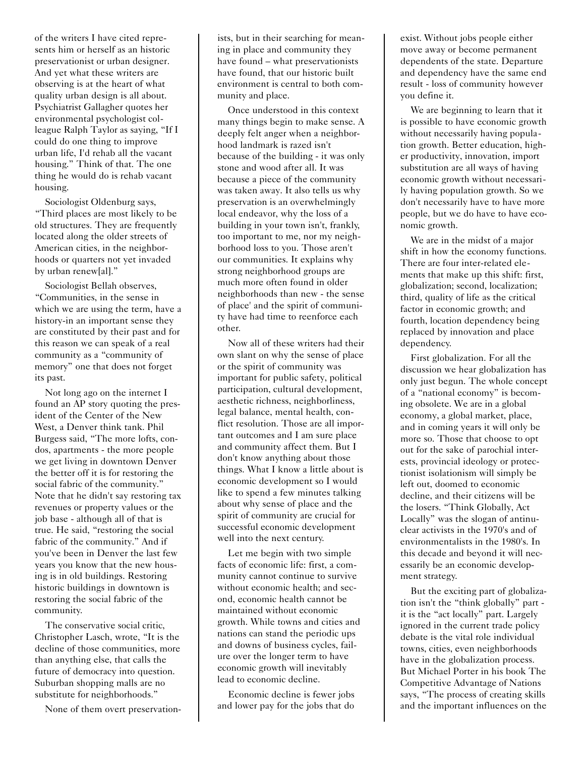of the writers I have cited represents him or herself as an historic preservationist or urban designer. And yet what these writers are observing is at the heart of what quality urban design is all about. Psychiatrist Gallagher quotes her environmental psychologist colleague Ralph Taylor as saying, "If I could do one thing to improve urban life, I'd rehab all the vacant housing." Think of that. The one thing he would do is rehab vacant housing.

Sociologist Oldenburg says, "Third places are most likely to be old structures. They are frequently located along the older streets of American cities, in the neighborhoods or quarters not yet invaded by urban renew[al]."

Sociologist Bellah observes, "Communities, in the sense in which we are using the term, have a history-in an important sense they are constituted by their past and for this reason we can speak of a real community as a "community of memory" one that does not forget its past.

Not long ago on the internet I found an AP story quoting the president of the Center of the New West, a Denver think tank. Phil Burgess said, "The more lofts, condos, apartments - the more people we get living in downtown Denver the better off it is for restoring the social fabric of the community." Note that he didn't say restoring tax revenues or property values or the job base - although all of that is true. He said, "restoring the social fabric of the community." And if you've been in Denver the last few years you know that the new housing is in old buildings. Restoring historic buildings in downtown is restoring the social fabric of the community.

The conservative social critic, Christopher Lasch, wrote, "It is the decline of those communities, more than anything else, that calls the future of democracy into question. Suburban shopping malls are no substitute for neighborhoods."

None of them overt preservation-

ists, but in their searching for meaning in place and community they have found – what preservationists have found, that our historic built environment is central to both community and place.

Once understood in this context many things begin to make sense. A deeply felt anger when a neighborhood landmark is razed isn't because of the building - it was only stone and wood after all. It was because a piece of the community was taken away. It also tells us why preservation is an overwhelmingly local endeavor, why the loss of a building in your town isn't, frankly, too important to me, nor my neighborhood loss to you. Those aren't our communities. It explains why strong neighborhood groups are much more often found in older neighborhoods than new - the sense of place' and the spirit of community have had time to reenforce each other.

Now all of these writers had their own slant on why the sense of place or the spirit of community was important for public safety, political participation, cultural development, aesthetic richness, neighborliness, legal balance, mental health, conflict resolution. Those are all important outcomes and I am sure place and community affect them. But I don't know anything about those things. What I know a little about is economic development so I would like to spend a few minutes talking about why sense of place and the spirit of community are crucial for successful economic development well into the next century.

Let me begin with two simple facts of economic life: first, a community cannot continue to survive without economic health; and second, economic health cannot be maintained without economic growth. While towns and cities and nations can stand the periodic ups and downs of business cycles, failure over the longer term to have economic growth will inevitably lead to economic decline.

Economic decline is fewer jobs and lower pay for the jobs that do exist. Without jobs people either move away or become permanent dependents of the state. Departure and dependency have the same end result - loss of community however you define it.

We are beginning to learn that it is possible to have economic growth without necessarily having population growth. Better education, higher productivity, innovation, import substitution are all ways of having economic growth without necessarily having population growth. So we don't necessarily have to have more people, but we do have to have economic growth.

We are in the midst of a major shift in how the economy functions. There are four inter-related elements that make up this shift: first, globalization; second, localization; third, quality of life as the critical factor in economic growth; and fourth, location dependency being replaced by innovation and place dependency.

First globalization. For all the discussion we hear globalization has only just begun. The whole concept of a "national economy" is becoming obsolete. We are in a global economy, a global market, place, and in coming years it will only be more so. Those that choose to opt out for the sake of parochial interests, provincial ideology or protectionist isolationism will simply be left out, doomed to economic decline, and their citizens will be the losers. "Think Globally, Act Locally" was the slogan of antinuclear activists in the 1970's and of environmentalists in the 1980's. In this decade and beyond it will necessarily be an economic development strategy.

But the exciting part of globalization isn't the "think globally" part it is the "act locally" part. Largely ignored in the current trade policy debate is the vital role individual towns, cities, even neighborhoods have in the globalization process. But Michael Porter in his book The Competitive Advantage of Nations says, "The process of creating skills and the important influences on the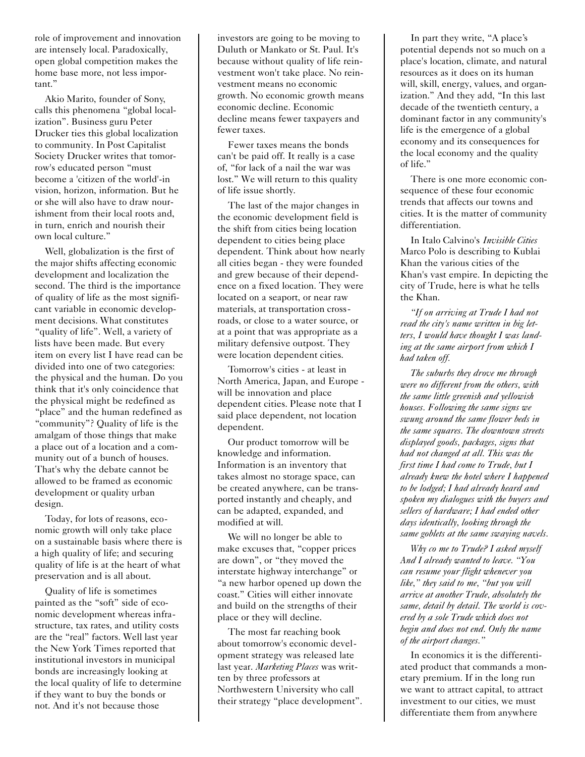role of improvement and innovation are intensely local. Paradoxically, open global competition makes the home base more, not less important."

Akio Marito, founder of Sony, calls this phenomena "global localization". Business guru Peter Drucker ties this global localization to community. In Post Capitalist Society Drucker writes that tomorrow's educated person "must become a 'citizen of the world'-in vision, horizon, information. But he or she will also have to draw nourishment from their local roots and, in turn, enrich and nourish their own local culture."

Well, globalization is the first of the major shifts affecting economic development and localization the second. The third is the importance of quality of life as the most significant variable in economic development decisions. What constitutes "quality of life". Well, a variety of lists have been made. But every item on every list I have read can be divided into one of two categories: the physical and the human. Do you think that it's only coincidence that the physical might be redefined as "place" and the human redefined as "community"? Quality of life is the amalgam of those things that make a place out of a location and a community out of a bunch of houses. That's why the debate cannot be allowed to be framed as economic development or quality urban design.

Today, for lots of reasons, economic growth will only take place on a sustainable basis where there is a high quality of life; and securing quality of life is at the heart of what preservation and is all about.

Quality of life is sometimes painted as the "soft" side of economic development whereas infrastructure, tax rates, and utility costs are the "real" factors. Well last year the New York Times reported that institutional investors in municipal bonds are increasingly looking at the local quality of life to determine if they want to buy the bonds or not. And it's not because those

investors are going to be moving to Duluth or Mankato or St. Paul. It's because without quality of life reinvestment won't take place. No reinvestment means no economic growth. No economic growth means economic decline. Economic decline means fewer taxpayers and fewer taxes.

Fewer taxes means the bonds can't be paid off. It really is a case of, "for lack of a nail the war was lost." We will return to this quality of life issue shortly.

The last of the major changes in the economic development field is the shift from cities being location dependent to cities being place dependent. Think about how nearly all cities began - they were founded and grew because of their dependence on a fixed location. They were located on a seaport, or near raw materials, at transportation crossroads, or close to a water source, or at a point that was appropriate as a military defensive outpost. They were location dependent cities.

Tomorrow's cities - at least in North America, Japan, and Europe will be innovation and place dependent cities. Please note that I said place dependent, not location dependent.

Our product tomorrow will be knowledge and information. Information is an inventory that takes almost no storage space, can be created anywhere, can be transported instantly and cheaply, and can be adapted, expanded, and modified at will.

We will no longer be able to make excuses that, "copper prices are down", or "they moved the interstate highway interchange" or "a new harbor opened up down the coast." Cities will either innovate and build on the strengths of their place or they will decline.

The most far reaching book about tomorrow's economic development strategy was released late last year. *Marketing Places* was written by three professors at Northwestern University who call their strategy "place development".

In part they write, "A place's potential depends not so much on a place's location, climate, and natural resources as it does on its human will, skill, energy, values, and organization." And they add, "In this last decade of the twentieth century, a dominant factor in any community's life is the emergence of a global economy and its consequences for the local economy and the quality of life."

There is one more economic consequence of these four economic trends that affects our towns and cities. It is the matter of community differentiation.

In Italo Calvino's *Invisible Cities* Marco Polo is describing to Kublai Khan the various cities of the Khan's vast empire. In depicting the city of Trude, here is what he tells the Khan.

*"If on arriving at Trude I had not read the city's name written in big letters, I would have thought I was landing at the same airport from which I had taken off.*

*The suburbs they drove me through were no different from the others, with the same little greenish and yellowish houses. Following the same signs we swung around the same flower beds in the same squares. The downtown streets displayed goods, packages, signs that had not changed at all. This was the first time I had come to Trude, but I already knew the hotel where I happened to be lodged; I had already heard and spoken my dialogues with the buyers and sellers of hardware; I had ended other days identically, looking through the same goblets at the same swaying navels.*

*Why co me to Trude? I asked myself And I already wanted to leave. "You can resume your flight whenever you like," they said to me, "but you will arrive at another Trude, absolutely the same, detail by detail. The world is covered by a sole Trude which does not begin and does not end. Only the name of the airport changes."*

In economics it is the differentiated product that commands a monetary premium. If in the long run we want to attract capital, to attract investment to our cities, we must differentiate them from anywhere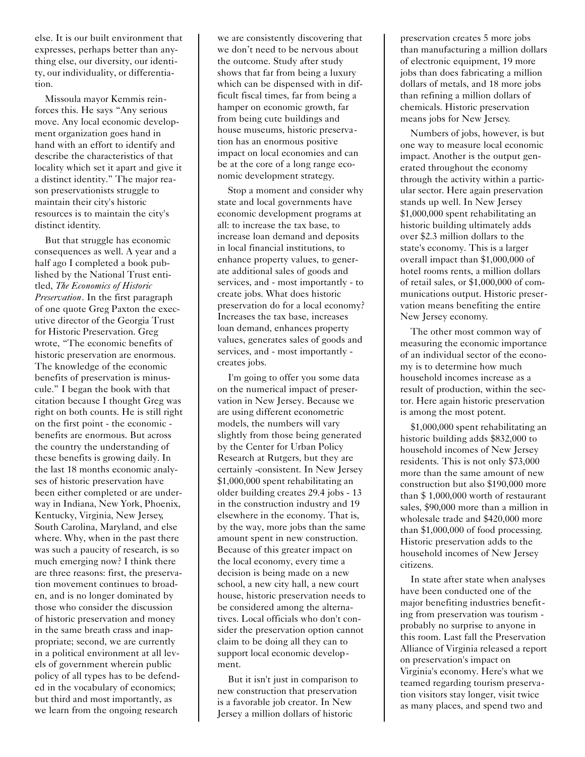else. It is our built environment that expresses, perhaps better than anything else, our diversity, our identity, our individuality, or differentiation.

Missoula mayor Kemmis reinforces this. He says "Any serious move. Any local economic development organization goes hand in hand with an effort to identify and describe the characteristics of that locality which set it apart and give it a distinct identity." The major reason preservationists struggle to maintain their city's historic resources is to maintain the city's distinct identity.

But that struggle has economic consequences as well. A year and a half ago I completed a book published by the National Trust entitled, *The Economics of Historic Preservation*. In the first paragraph of one quote Greg Paxton the executive director of the Georgia Trust for Historic Preservation. Greg wrote, "The economic benefits of historic preservation are enormous. The knowledge of the economic benefits of preservation is minuscule." I began the book with that citation because I thought Greg was right on both counts. He is still right on the first point - the economic benefits are enormous. But across the country the understanding of these benefits is growing daily. In the last 18 months economic analyses of historic preservation have been either completed or are underway in Indiana, New York, Phoenix, Kentucky, Virginia, New Jersey, South Carolina, Maryland, and else where. Why, when in the past there was such a paucity of research, is so much emerging now? I think there are three reasons: first, the preservation movement continues to broaden, and is no longer dominated by those who consider the discussion of historic preservation and money in the same breath crass and inappropriate; second, we are currently in a political environment at all levels of government wherein public policy of all types has to be defended in the vocabulary of economics; but third and most importantly, as we learn from the ongoing research

we are consistently discovering that we don't need to be nervous about the outcome. Study after study shows that far from being a luxury which can be dispensed with in difficult fiscal times, far from being a hamper on economic growth, far from being cute buildings and house museums, historic preservation has an enormous positive impact on local economies and can be at the core of a long range economic development strategy.

Stop a moment and consider why state and local governments have economic development programs at all: to increase the tax base, to increase loan demand and deposits in local financial institutions, to enhance property values, to generate additional sales of goods and services, and - most importantly - to create jobs. What does historic preservation do for a local economy? Increases the tax base, increases loan demand, enhances property values, generates sales of goods and services, and - most importantly creates jobs.

I'm going to offer you some data on the numerical impact of preservation in New Jersey. Because we are using different econometric models, the numbers will vary slightly from those being generated by the Center for Urban Policy Research at Rutgers, but they are certainly -consistent. In New Jersey \$1,000,000 spent rehabilitating an older building creates 29.4 jobs - 13 in the construction industry and 19 elsewhere in the economy. That is, by the way, more jobs than the same amount spent in new construction. Because of this greater impact on the local economy, every time a decision is being made on a new school, a new city hall, a new court house, historic preservation needs to be considered among the alternatives. Local officials who don't consider the preservation option cannot claim to be doing all they can to support local economic development.

But it isn't just in comparison to new construction that preservation is a favorable job creator. In New Jersey a million dollars of historic

preservation creates 5 more jobs than manufacturing a million dollars of electronic equipment, 19 more jobs than does fabricating a million dollars of metals, and 18 more jobs than refining a million dollars of chemicals. Historic preservation means jobs for New Jersey.

Numbers of jobs, however, is but one way to measure local economic impact. Another is the output generated throughout the economy through the activity within a particular sector. Here again preservation stands up well. In New Jersey \$1,000,000 spent rehabilitating an historic building ultimately adds over \$2.3 million dollars to the state's economy. This is a larger overall impact than \$1,000,000 of hotel rooms rents, a million dollars of retail sales, or \$1,000,000 of communications output. Historic preservation means benefiting the entire New Jersey economy.

The other most common way of measuring the economic importance of an individual sector of the economy is to determine how much household incomes increase as a result of production, within the sector. Here again historic preservation is among the most potent.

\$1,000,000 spent rehabilitating an historic building adds \$832,000 to household incomes of New Jersey residents. This is not only \$73,000 more than the same amount of new construction but also \$190,000 more than \$ 1,000,000 worth of restaurant sales, \$90,000 more than a million in wholesale trade and \$420,000 more than \$1,000,000 of food processing. Historic preservation adds to the household incomes of New Jersey citizens.

In state after state when analyses have been conducted one of the major benefiting industries benefiting from preservation was tourism probably no surprise to anyone in this room. Last fall the Preservation Alliance of Virginia released a report on preservation's impact on Virginia's economy. Here's what we teamed regarding tourism preservation visitors stay longer, visit twice as many places, and spend two and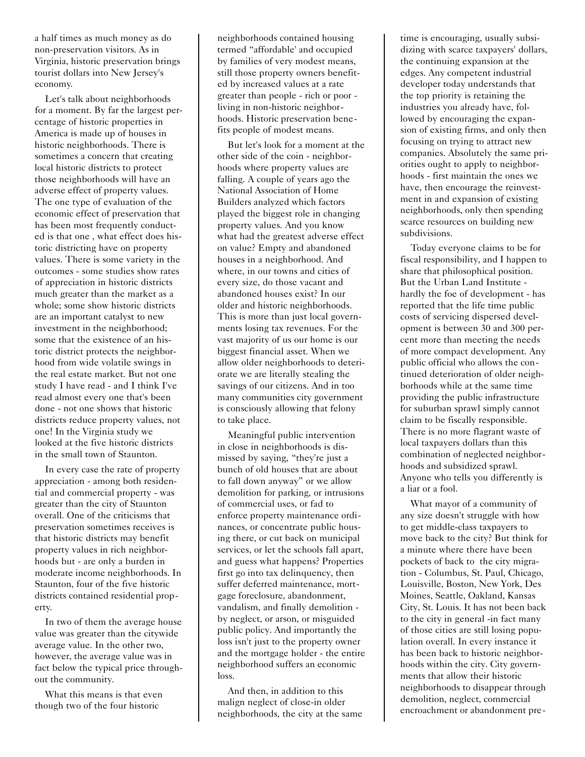a half times as much money as do non-preservation visitors. As in Virginia, historic preservation brings tourist dollars into New Jersey's economy.

Let's talk about neighborhoods for a moment. By far the largest percentage of historic properties in America is made up of houses in historic neighborhoods. There is sometimes a concern that creating local historic districts to protect those neighborhoods will have an adverse effect of property values. The one type of evaluation of the economic effect of preservation that has been most frequently conducted is that one , what effect does historic districting have on property values. There is some variety in the outcomes - some studies show rates of appreciation in historic districts much greater than the market as a whole; some show historic districts are an important catalyst to new investment in the neighborhood; some that the existence of an historic district protects the neighborhood from wide volatile swings in the real estate market. But not one study I have read - and I think I've read almost every one that's been done - not one shows that historic districts reduce property values, not one! In the Virginia study we looked at the five historic districts in the small town of Staunton.

In every case the rate of property appreciation - among both residential and commercial property - was greater than the city of Staunton overall. One of the criticisms that preservation sometimes receives is that historic districts may benefit property values in rich neighborhoods but - are only a burden in moderate income neighborhoods. In Staunton, four of the five historic districts contained residential property.

In two of them the average house value was greater than the citywide average value. In the other two, however, the average value was in fact below the typical price throughout the community.

What this means is that even though two of the four historic

neighborhoods contained housing termed "affordable' and occupied by families of very modest means, still those property owners benefited by increased values at a rate greater than people - rich or poor living in non-historic neighborhoods. Historic preservation benefits people of modest means.

But let's look for a moment at the other side of the coin - neighborhoods where property values are falling. A couple of years ago the National Association of Home Builders analyzed which factors played the biggest role in changing property values. And you know what had the greatest adverse effect on value? Empty and abandoned houses in a neighborhood. And where, in our towns and cities of every size, do those vacant and abandoned houses exist? In our older and historic neighborhoods. This is more than just local governments losing tax revenues. For the vast majority of us our home is our biggest financial asset. When we allow older neighborhoods to deteriorate we are literally stealing the savings of our citizens. And in too many communities city government is consciously allowing that felony to take place.

Meaningful public intervention in close in neighborhoods is dismissed by saying, "they're just a bunch of old houses that are about to fall down anyway" or we allow demolition for parking, or intrusions of commercial uses, or fad to enforce property maintenance ordinances, or concentrate public housing there, or cut back on municipal services, or let the schools fall apart, and guess what happens? Properties first go into tax delinquency, then suffer deferred maintenance, mortgage foreclosure, abandonment, vandalism, and finally demolition by neglect, or arson, or misguided public policy. And importantly the loss isn't just to the property owner and the mortgage holder - the entire neighborhood suffers an economic loss.

And then, in addition to this malign neglect of close-in older neighborhoods, the city at the same time is encouraging, usually subsidizing with scarce taxpayers' dollars, the continuing expansion at the edges. Any competent industrial developer today understands that the top priority is retaining the industries you already have, followed by encouraging the expansion of existing firms, and only then focusing on trying to attract new companies. Absolutely the same priorities ought to apply to neighborhoods - first maintain the ones we have, then encourage the reinvestment in and expansion of existing neighborhoods, only then spending scarce resources on building new subdivisions.

Today everyone claims to be for fiscal responsibility, and I happen to share that philosophical position. But the Urban Land Institute hardly the foe of development - has reported that the life time public costs of servicing dispersed development is between 30 and 300 percent more than meeting the needs of more compact development. Any public official who allows the continued deterioration of older neighborhoods while at the same time providing the public infrastructure for suburban sprawl simply cannot claim to be fiscally responsible. There is no more flagrant waste of local taxpayers dollars than this combination of neglected neighborhoods and subsidized sprawl. Anyone who tells you differently is a liar or a fool.

What mayor of a community of any size doesn't struggle with how to get middle-class taxpayers to move back to the city? But think for a minute where there have been pockets of back to the city migration - Columbus, St. Paul, Chicago, Louisville, Boston, New York, Des Moines, Seattle, Oakland, Kansas City, St. Louis. It has not been back to the city in general -in fact many of those cities are still losing population overall. In every instance it has been back to historic neighborhoods within the city. City governments that allow their historic neighborhoods to disappear through demolition, neglect, commercial encroachment or abandonment pre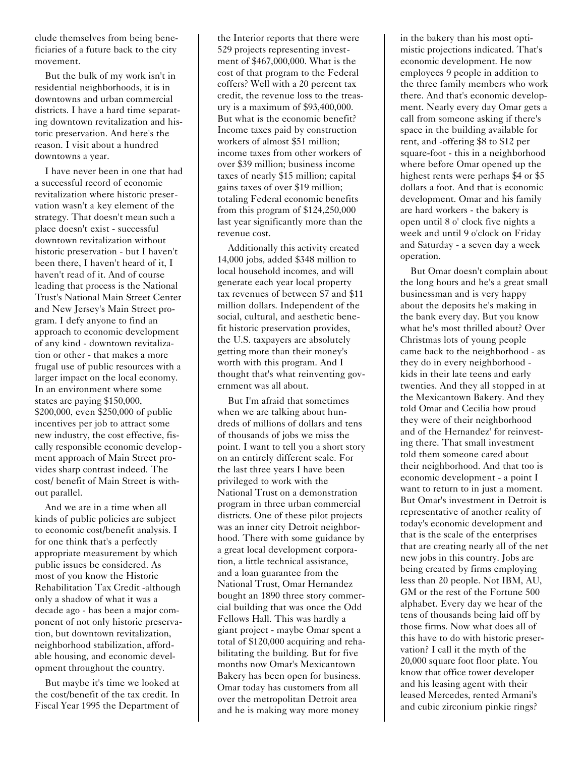clude themselves from being beneficiaries of a future back to the city movement.

But the bulk of my work isn't in residential neighborhoods, it is in downtowns and urban commercial districts. I have a hard time separating downtown revitalization and historic preservation. And here's the reason. I visit about a hundred downtowns a year.

I have never been in one that had a successful record of economic revitalization where historic preservation wasn't a key element of the strategy. That doesn't mean such a place doesn't exist - successful downtown revitalization without historic preservation - but I haven't been there, I haven't heard of it, I haven't read of it. And of course leading that process is the National Trust's National Main Street Center and New Jersey's Main Street program. I defy anyone to find an approach to economic development of any kind - downtown revitalization or other - that makes a more frugal use of public resources with a larger impact on the local economy. In an environment where some states are paying \$150,000, \$200,000, even \$250,000 of public incentives per job to attract some new industry, the cost effective, fiscally responsible economic development approach of Main Street provides sharp contrast indeed. The cost/ benefit of Main Street is without parallel.

And we are in a time when all kinds of public policies are subject to economic cost/benefit analysis. I for one think that's a perfectly appropriate measurement by which public issues be considered. As most of you know the Historic Rehabilitation Tax Credit -although only a shadow of what it was a decade ago - has been a major component of not only historic preservation, but downtown revitalization, neighborhood stabilization, affordable housing, and economic development throughout the country.

But maybe it's time we looked at the cost/benefit of the tax credit. In Fiscal Year 1995 the Department of

the Interior reports that there were 529 projects representing investment of \$467,000,000. What is the cost of that program to the Federal coffers? Well with a 20 percent tax credit, the revenue loss to the treasury is a maximum of \$93,400,000. But what is the economic benefit? Income taxes paid by construction workers of almost \$51 million; income taxes from other workers of over \$39 million; business income taxes of nearly \$15 million; capital gains taxes of over \$19 million; totaling Federal economic benefits from this program of \$124,250,000 last year significantly more than the revenue cost.

Additionally this activity created 14,000 jobs, added \$348 million to local household incomes, and will generate each year local property tax revenues of between \$7 and \$11 million dollars. Independent of the social, cultural, and aesthetic benefit historic preservation provides, the U.S. taxpayers are absolutely getting more than their money's worth with this program. And I thought that's what reinventing government was all about.

But I'm afraid that sometimes when we are talking about hundreds of millions of dollars and tens of thousands of jobs we miss the point. I want to tell you a short story on an entirely different scale. For the last three years I have been privileged to work with the National Trust on a demonstration program in three urban commercial districts. One of these pilot projects was an inner city Detroit neighborhood. There with some guidance by a great local development corporation, a little technical assistance, and a loan guarantee from the National Trust, Omar Hernandez bought an 1890 three story commercial building that was once the Odd Fellows Hall. This was hardly a giant project - maybe Omar spent a total of \$120,000 acquiring and rehabilitating the building. But for five months now Omar's Mexicantown Bakery has been open for business. Omar today has customers from all over the metropolitan Detroit area and he is making way more money

in the bakery than his most optimistic projections indicated. That's economic development. He now employees 9 people in addition to the three family members who work there. And that's economic development. Nearly every day Omar gets a call from someone asking if there's space in the building available for rent, and -offering \$8 to \$12 per square-foot - this in a neighborhood where before Omar opened up the highest rents were perhaps \$4 or \$5 dollars a foot. And that is economic development. Omar and his family are hard workers - the bakery is open until 8 o' clock five nights a week and until 9 o'clock on Friday and Saturday - a seven day a week operation.

But Omar doesn't complain about the long hours and he's a great small businessman and is very happy about the deposits he's making in the bank every day. But you know what he's most thrilled about? Over Christmas lots of young people came back to the neighborhood - as they do in every neighborhood kids in their late teens and early twenties. And they all stopped in at the Mexicantown Bakery. And they told Omar and Cecilia how proud they were of their neighborhood and of the Hernandez' for reinvesting there. That small investment told them someone cared about their neighborhood. And that too is economic development - a point I want to return to in just a moment. But Omar's investment in Detroit is representative of another reality of today's economic development and that is the scale of the enterprises that are creating nearly all of the net new jobs in this country. Jobs are being created by firms employing less than 20 people. Not IBM, AU, GM or the rest of the Fortune 500 alphabet. Every day we hear of the tens of thousands being laid off by those firms. Now what does all of this have to do with historic preservation? I call it the myth of the 20,000 square foot floor plate. You know that office tower developer and his leasing agent with their leased Mercedes, rented Armani's and cubic zirconium pinkie rings?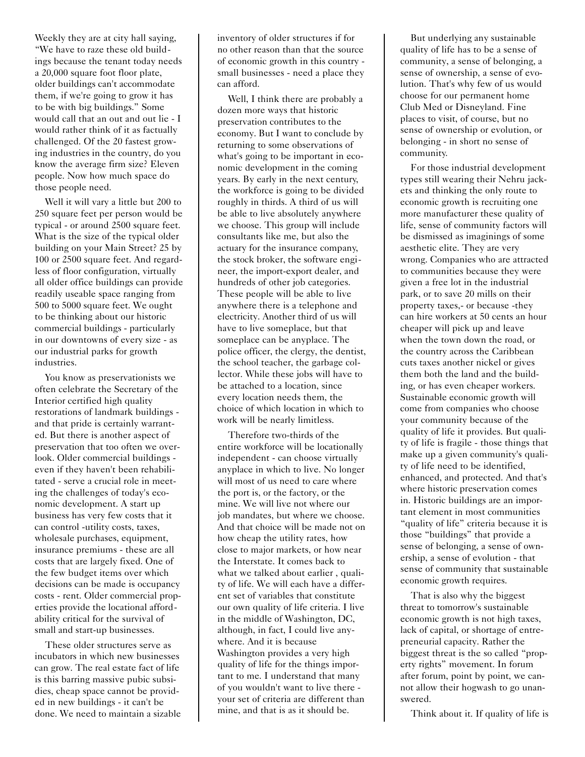Weekly they are at city hall saying, "We have to raze these old buildings because the tenant today needs a 20,000 square foot floor plate, older buildings can't accommodate them, if we're going to grow it has to be with big buildings." Some would call that an out and out lie - I would rather think of it as factually challenged. Of the 20 fastest growing industries in the country, do you know the average firm size? Eleven people. Now how much space do those people need.

Well it will vary a little but 200 to 250 square feet per person would be typical - or around 2500 square feet. What is the size of the typical older building on your Main Street? 25 by 100 or 2500 square feet. And regardless of floor configuration, virtually all older office buildings can provide readily useable space ranging from 500 to 5000 square feet. We ought to be thinking about our historic commercial buildings - particularly in our downtowns of every size - as our industrial parks for growth industries.

You know as preservationists we often celebrate the Secretary of the Interior certified high quality restorations of landmark buildings and that pride is certainly warranted. But there is another aspect of preservation that too often we overlook. Older commercial buildings even if they haven't been rehabilitated - serve a crucial role in meeting the challenges of today's economic development. A start up business has very few costs that it can control -utility costs, taxes, wholesale purchases, equipment, insurance premiums - these are all costs that are largely fixed. One of the few budget items over which decisions can be made is occupancy costs - rent. Older commercial properties provide the locational affordability critical for the survival of small and start-up businesses.

These older structures serve as incubators in which new businesses can grow. The real estate fact of life is this barring massive pubic subsidies, cheap space cannot be provided in new buildings - it can't be done. We need to maintain a sizable inventory of older structures if for no other reason than that the source of economic growth in this country small businesses - need a place they can afford.

Well, I think there are probably a dozen more ways that historic preservation contributes to the economy. But I want to conclude by returning to some observations of what's going to be important in economic development in the coming years. By early in the next century, the workforce is going to be divided roughly in thirds. A third of us will be able to live absolutely anywhere we choose. This group will include consultants like me, but also the actuary for the insurance company, the stock broker, the software engineer, the import-export dealer, and hundreds of other job categories. These people will be able to live anywhere there is a telephone and electricity. Another third of us will have to live someplace, but that someplace can be anyplace. The police officer, the clergy, the dentist, the school teacher, the garbage collector. While these jobs will have to be attached to a location, since every location needs them, the choice of which location in which to work will be nearly limitless.

Therefore two-thirds of the entire workforce will be locationally independent - can choose virtually anyplace in which to live. No longer will most of us need to care where the port is, or the factory, or the mine. We will live not where our job mandates, but where we choose. And that choice will be made not on how cheap the utility rates, how close to major markets, or how near the Interstate. It comes back to what we talked about earlier, quality of life. We will each have a different set of variables that constitute our own quality of life criteria. I live in the middle of Washington, DC, although, in fact, I could live anywhere. And it is because Washington provides a very high quality of life for the things important to me. I understand that many of you wouldn't want to live there your set of criteria are different than mine, and that is as it should be.

But underlying any sustainable quality of life has to be a sense of community, a sense of belonging, a sense of ownership, a sense of evolution. That's why few of us would choose for our permanent home Club Med or Disneyland. Fine places to visit, of course, but no sense of ownership or evolution, or belonging - in short no sense of community.

For those industrial development types still wearing their Nehru jackets and thinking the only route to economic growth is recruiting one more manufacturer these quality of life, sense of community factors will be dismissed as imaginings of some aesthetic elite. They are very wrong. Companies who are attracted to communities because they were given a free lot in the industrial park, or to save 20 mills on their property taxes,- or because -they can hire workers at 50 cents an hour cheaper will pick up and leave when the town down the road, or the country across the Caribbean cuts taxes another nickel or gives them both the land and the building, or has even cheaper workers. Sustainable economic growth will come from companies who choose your community because of the quality of life it provides. But quality of life is fragile - those things that make up a given community's quality of life need to be identified, enhanced, and protected. And that's where historic preservation comes in. Historic buildings are an important element in most communities "quality of life" criteria because it is those "buildings" that provide a sense of belonging, a sense of ownership, a sense of evolution - that sense of community that sustainable economic growth requires.

That is also why the biggest threat to tomorrow's sustainable economic growth is not high taxes, lack of capital, or shortage of entrepreneurial capacity. Rather the biggest threat is the so called "property rights" movement. In forum after forum, point by point, we cannot allow their hogwash to go unanswered.

Think about it. If quality of life is